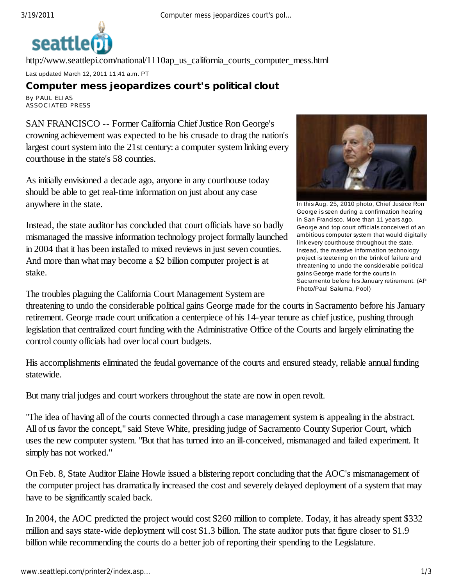

http://www.seattlepi.com/national/1110ap\_us\_california\_courts\_computer\_mess.html Last updated March 12, 2011 11:41 a.m. PT

## **Computer mess jeopardizes court's political clout**

By PAUL ELIAS ASSOCIATED PRESS

SAN FRANCISCO -- Former California Chief Justice Ron George's crowning achievement was expected to be his crusade to drag the nation's largest court system into the 21st century: a computer system linking every courthouse in the state's 58 counties.

As initially envisioned a decade ago, anyone in any courthouse today should be able to get real-time information on just about any case anywhere in the state.

Instead, the state auditor has concluded that court officials have so badly mismanaged the massive information technology project formally launched in 2004 that it has been installed to mixed reviews in just seven counties. And more than what may become a \$2 billion computer project is at stake.

The troubles plaguing the California Court Management System are

In this Aug. 25, 2010 photo, Chief Justice Ron George is seen during a confirmation hearing in San Francisco. More than 11 years ago, George and top court officials conceived of an ambitious computer system that would digitally link every courthouse throughout the state. Instead, the massive information technology project is teetering on the brink of failure and threatening to undo the considerable political gains George made for the courts in Sacramento before his January retirement. (AP Photo/Paul Sakuma, Pool)

threatening to undo the considerable political gains George made for the courts in Sacramento before his January retirement. George made court unification a centerpiece of his 14-year tenure as chief justice, pushing through legislation that centralized court funding with the Administrative Office of the Courts and largely eliminating the control county officials had over local court budgets.

His accomplishments eliminated the feudal governance of the courts and ensured steady, reliable annual funding statewide.

But many trial judges and court workers throughout the state are now in open revolt.

"The idea of having all of the courts connected through a case management system is appealing in the abstract. All of us favor the concept," said Steve White, presiding judge of Sacramento County Superior Court, which uses the new computer system. "But that has turned into an ill-conceived, mismanaged and failed experiment. It simply has not worked."

On Feb. 8, State Auditor Elaine Howle issued a blistering report concluding that the AOC's mismanagement of the computer project has dramatically increased the cost and severely delayed deployment of a system that may have to be significantly scaled back.

In 2004, the AOC predicted the project would cost \$260 million to complete. Today, it has already spent \$332 million and says state-wide deployment will cost \$1.3 billion. The state auditor puts that figure closer to \$1.9 billion while recommending the courts do a better job of reporting their spending to the Legislature.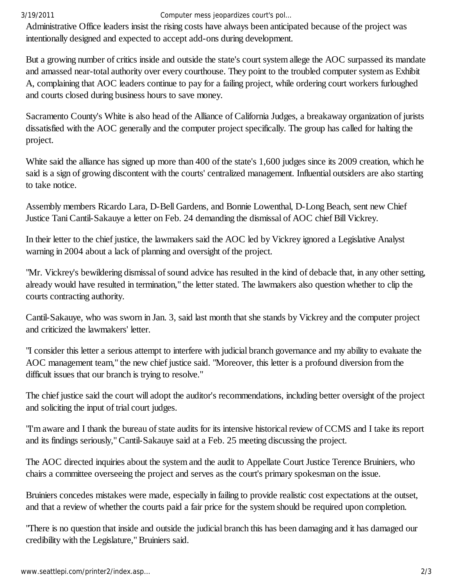## 3/19/2011 Computer mess jeopardizes court's pol…

Administrative Office leaders insist the rising costs have always been anticipated because of the project was intentionally designed and expected to accept add-ons during development.

But a growing number of critics inside and outside the state's court system allege the AOC surpassed its mandate and amassed near-total authority over every courthouse. They point to the troubled computer system as Exhibit A, complaining that AOC leaders continue to pay for a failing project, while ordering court workers furloughed and courts closed during business hours to save money.

Sacramento County's White is also head of the Alliance of California Judges, a breakaway organization of jurists dissatisfied with the AOC generally and the computer project specifically. The group has called for halting the project.

White said the alliance has signed up more than 400 of the state's 1,600 judges since its 2009 creation, which he said is a sign of growing discontent with the courts' centralized management. Influential outsiders are also starting to take notice.

Assembly members Ricardo Lara, D-Bell Gardens, and Bonnie Lowenthal, D-Long Beach, sent new Chief Justice Tani Cantil-Sakauye a letter on Feb. 24 demanding the dismissal of AOC chief Bill Vickrey.

In their letter to the chief justice, the lawmakers said the AOC led by Vickrey ignored a Legislative Analyst warning in 2004 about a lack of planning and oversight of the project.

"Mr. Vickrey's bewildering dismissal of sound advice has resulted in the kind of debacle that, in any other setting, already would have resulted in termination," the letter stated. The lawmakers also question whether to clip the courts contracting authority.

Cantil-Sakauye, who was sworn in Jan. 3, said last month that she stands by Vickrey and the computer project and criticized the lawmakers' letter.

"I consider this letter a serious attempt to interfere with judicial branch governance and my ability to evaluate the AOC management team," the new chief justice said. "Moreover, this letter is a profound diversion from the difficult issues that our branch is trying to resolve."

The chief justice said the court will adopt the auditor's recommendations, including better oversight of the project and soliciting the input of trial court judges.

"I'm aware and I thank the bureau of state audits for its intensive historical review of CCMS and I take its report and its findings seriously," Cantil-Sakauye said at a Feb. 25 meeting discussing the project.

The AOC directed inquiries about the system and the audit to Appellate Court Justice Terence Bruiniers, who chairs a committee overseeing the project and serves as the court's primary spokesman on the issue.

Bruiniers concedes mistakes were made, especially in failing to provide realistic cost expectations at the outset, and that a review of whether the courts paid a fair price for the system should be required upon completion.

"There is no question that inside and outside the judicial branch this has been damaging and it has damaged our credibility with the Legislature," Bruiniers said.